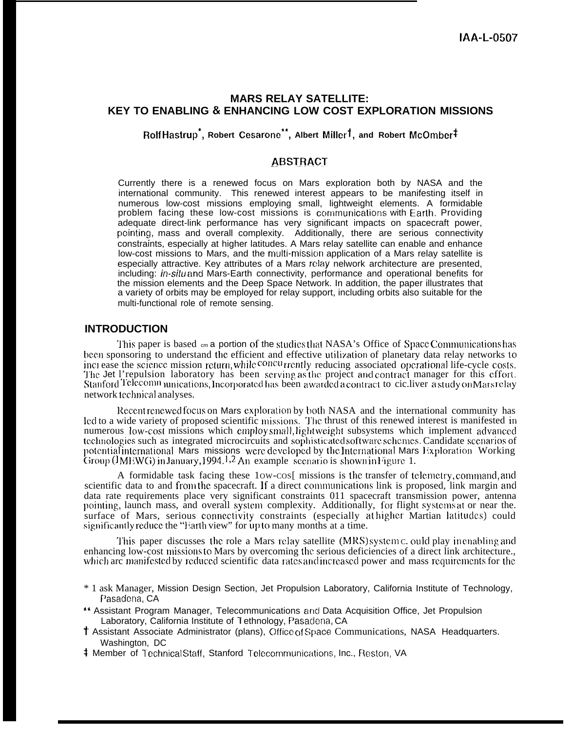## **MARS RELAY SATELLITE: KEY TO ENABLING & ENHANCING LOW COST EXPLORATION MISSIONS**

**Rolf Hastrup\*, Robert Cesarone", Albert Millerl, and Robert McOmber\***

## **ABSTRACT**

Currently there is a renewed focus on Mars exploration both by NASA and the international community. This renewed interest appears to be manifesting itself in numerous low-cost missions employing small, lightweight elements. A formidable problem facing these low-cost missions is communications with Earth. Providing adequate direct-link performance has very significant impacts on spacecraft power, pointing, mass and overall complexity. Additionally, there are serious connectivity constraints, especially at higher latitudes. A Mars relay satellite can enable and enhance low-cost missions to Mars, and the multi-missicm application of a Mars relay satellite is especially attractive. Key attributes of a Mars relay nelwork architecture are presented, including: in-situ and Mars-Earth connectivity, performance and operational benefits for the mission elements and the Deep Space Network. In addition, the paper illustrates that a variety of orbits may be employed for relay support, including orbits also suitable for the multi-functional role of remote sensing.

### **INTRODUCTION**

This paper is based  $\epsilon$  a portion of the studies that NASA's Office of Space Communications has been sponsoring to understand the efficient and effective utilization of planetary data relay networks to inci ease the science mission return, while  $\epsilon^{concu}$  trently reducing associated operational life-cycle costs. The Jet l'repulsion laboratory has been serving as the project and contract manager for this effort. Stanford Telecomn unications, Incorporated has been awarded a contract to cic.liver a study on Mars relay network technical analyses.

Recent renewed focus on Mars exploration by both NASA and the international community has led to a wide variety of proposed scientific missions. The thrust of this renewed interest is manifested in numerous low-cost missions which employ small, lightweight subsystems which implement advanced technologies such as integrated microcircuits and sophisticated software schemes. Candidate scenarios of potential international Mars missions were developed by the International Mars Exploration Working Group ( $l$ MEWG) in January, 1994.<sup>1,2</sup> An example sccnario is shown in Figure. 1.

A formidable task facing these 1ow-cos[ missions is the transfer of telemetry, command, and scientific data to and from the spacecraft. If a direct communications link is proposed, link margin and data rate requirements place very significant constraints 011 spacecraft transmission power, antenna pointing, launch mass, and overall system complexity. Additionally, for flight systems at or near the. surface of Mars, serious connectivity constraints (especially at higher Martian latitudes) could significantly reduce the "liarth view" for up to many months at a time.

This paper discusses the role a Mars relay satellite (MRS) system C. ould play in enabling and enhancing low-cost missions to Mars by overcoming the serious deficiencies of a direct link architecture., which arc manifested by reduced scientific data rates and increased power and mass requirements for the

- \* 1 ask Manager, Mission Design Section, Jet Propulsion Laboratory, California Institute of Technology, Pasadena, CA
- \*\* Assistant Program Manager, Telecommunications and Data Acquisition Office, Jet Propulsion Laboratory, California Institute of Tethnology, Pasadena, CA
- \* Assistant Associate Administrator (plans), Office of Space Communications, NASA Headquarters. Washington, DC
- <sup> $\ddagger$ </sup> Member of Technical Staff, Stanford Telecommunications, Inc., Reston, VA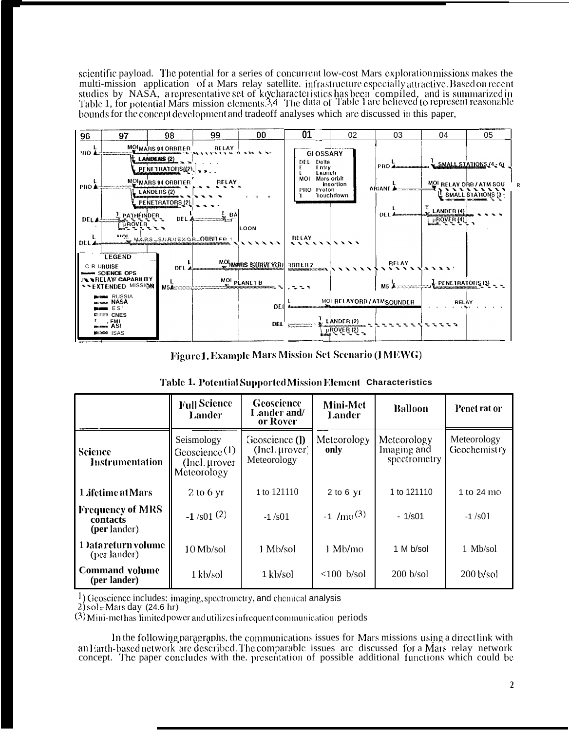scientific payload. The potential for a series of concurrent low-cost Mars exploration missions makes the multi-mission application of a Mars relay satellite. infrastructure especially attractive. Based on recent<br>studies by NASA, arepresentative set of kycharacteristics has been compiled, and is summarized in<br>Table 1, for pote bounds for the concept development and tradeoff analyses which are discussed in this paper,



Figure 1. Example Mars Mission Set Scenario (I MEWG)

|  |  |  | Table 1. Potential Supported Mission Element Characteristics |  |
|--|--|--|--------------------------------------------------------------|--|
|--|--|--|--------------------------------------------------------------|--|

|                                              | <b>Full Science</b><br>Lander                                            | Geoscience<br>Lander and/<br>or Rover           | Mini-Met<br>Lander  | <b>Balloon</b>                             | Penet rat or                |
|----------------------------------------------|--------------------------------------------------------------------------|-------------------------------------------------|---------------------|--------------------------------------------|-----------------------------|
| Science<br><b>Instrumentation</b>            | Seismology<br>Geoscience <sup>(1)</sup><br>(Incl. µrover)<br>Meteorology | Geoscience (1)<br>(Incl. µrover)<br>Meteorology | Meteorology<br>only | Meteorology<br>Imaging and<br>spectrometry | Meteorology<br>Geochemistry |
| 1 <i>i</i> fetime at Mars                    | $2$ to 6 yr                                                              | 1 to 121110                                     | $2$ to 6 yr         | 1 to 121110                                | 1 to 24 mo                  |
| Frequency of MRS<br>contacts<br>(per lander) | $-1/501$ (2)                                                             | $-1/501$                                        | $-1/m0(3)$          | $-1/s01$                                   | $-1/501$                    |
| 1 ) atareturn volume<br>(per lander)         | $10$ Mb/sol                                                              | 1 Mb/sol                                        | 1 Mb/mo             | 1 M b/sol                                  | 1 Mb/sol                    |
| <b>Command volume</b><br>(per lander)        | 1 kb/sol                                                                 | 1 kb/sol                                        | $<100$ b/sol        | 200 b/sol                                  | $200$ b/sol                 |

1) Geoscience includes: imaging, spectrometry, and chemical analysis

 $2)$  sol = Mars day (24.6 hr)

 $(3)$  Mini-methas limited power and utilizes infrequent communication periods

In the following paragraphs, the communications issues for Mars missions using a directlink with an Earth-based network are described. The comparable issues are discussed for a Mars relay network concept. The paper concludes with the presentation of possible additional functions which could be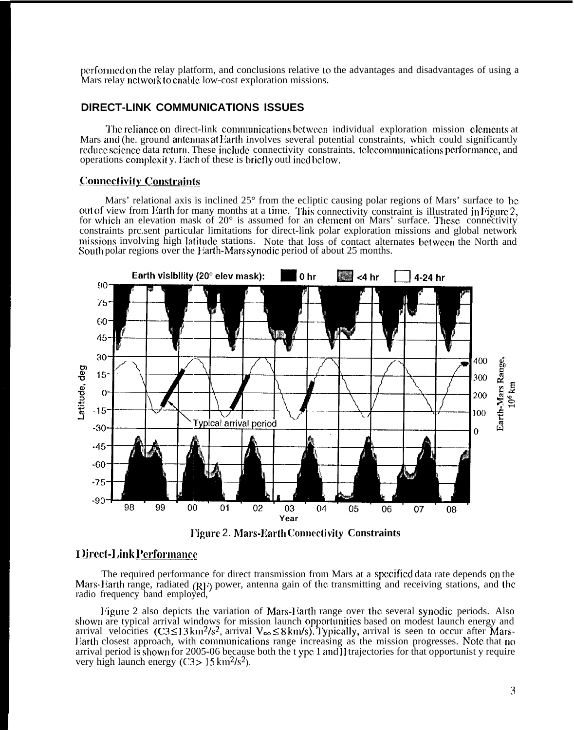pcrforlncd on the relay platform, and conclusions relative to the advantages and disadvantages of using a Mars relay nctwork to enable low-cost exploration missions.

## **DIRECT-LINK COMMUNICATIONS ISSUES**

The reliance on direct-link communications between individual exploration mission elements at Mars and (he. ground antennas at Earth involves several potential constraints, which could significantly reduce science data return. These include connectivity constraints, telecommunications performance, and operations complexit y. Each of these is briefly outlined below.

## **Connectivity Constraints**

Mars' relational axis is inclined 25° from the ecliptic causing polar regions of Mars' surface to bc out of view from Barth for many months at a time. This connectivity constraint is illustrated in Figure 2, for which an elevation mask of  $20^{\circ}$  is assumed for an element on Mars' surface. These connectivity constraints prc.sent particular limitations for direct-link polar exploration missions and global network missions involving high latitude stations. Note that loss of contact alternates between the North and South polar regions over the I larth-Mars synodic period of about 25 months.



**V'igurc** 2. **Mars-l;arth Conncdivity Constraints**

## **I )irect-Link Performance**

The required performance for direct transmission from Mars at a specified data rate depends on the Mars-Harth range, radiated (RH) power, antenna gain of the transmitting and receiving stations, and the radio frequency band employed,

Figure 2 also depicts the variation of Mars-Earth range over the several synodic periods. Also shown are typical arrival windows for mission launch opportunities based on modest launch energy and arrival velocities  $(C3 \le 13 \text{ km}^2/\text{s}^2$ , arrival  $V_{\infty} \le 8 \text{ km/s}$ . Typically, arrival is seen to occur after Mars-Earth closest approach, with communications range increasing as the mission progresses. Note that no arrival period is shown for 2005-06 because both the t ypc 1 and II trajectories for that opportunist y require very high launch energy  $(C3 > 15 \text{ km}^2/\text{s}^2)$ .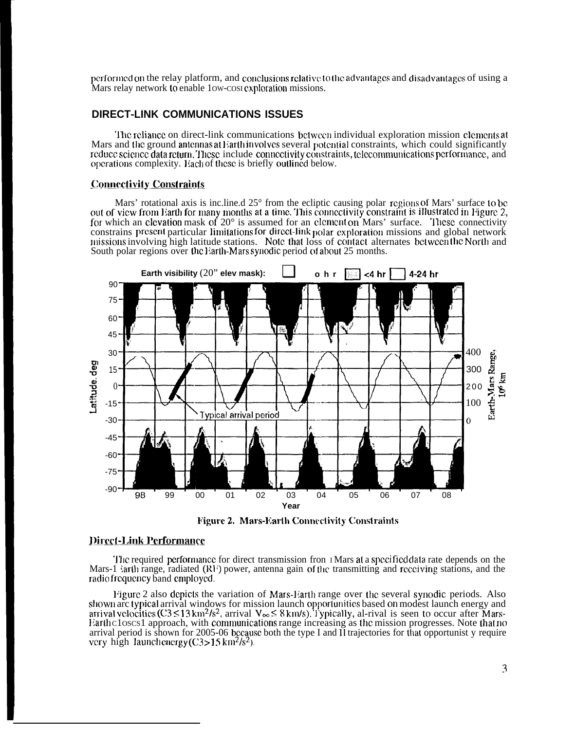performed on the relay platform, and conclusions relative to the advantages and disadvantages of using a Mars relay network to enable 1ow-cost exploration missions.

## **DIRECT-LINK COMMUNICATIONS ISSUES**

The reliance on direct-link communications between individual exploration mission elements at Mars and the ground antennas at Earth involves several potential constraints, which could significantly reduce science data return. These include connectivity constraints, telecommunications performance, and operations complexity. Each of these is briefly outlined below.

#### **Connectivity Constraints**

Mars' rotational axis is inc.line.d 25° from the ecliptic causing polar regions of Mars' surface to be out of view from Earth for many months at a time. This connectivity constraint is illustrated in Figure 2, for which an elevation mask of  $20^{\circ}$  is assumed for an element on Mars' surface. These connectivity constrains present particular limitations for direct-link polar exploration missions and global network missions involving high latitude stations. Note that loss of contact alternates between the North and South polar regions over the Earth-Marssynodic period of about 25 months.



**Figure 2. Mars-Earth Connectivity Constraints** 

### **Direct-Link Performance**

The required performance for direct transmission from *I*Mars at a specified data rate depends on the Mars-1 larth range, radiated (RF) power, antenna gain of the transmitting and receiving stations, and the radio frequency band employed.

Figure 2 also depicts the variation of Mars-Earth range over the several synodic periods. Also shown arc typical arrival windows for mission launch opportunities based on modest launch energy and arrival velocities  $(C3 \le 13 \text{ km}^2/\text{s}^2)$ , arrival  $V_\infty \le 8 \text{ km/s}$ ). Typically, al-rival is seen to occur after Mars-Earthcloscs1 approach, with communications range increasing as the mission progresses. Note that no arrival period is shown for 2005-06 because both the type I and II trajectories for that opportunist y require very high launchenergy  $(C3>15 \text{ km}^2/\text{s}^2)$ .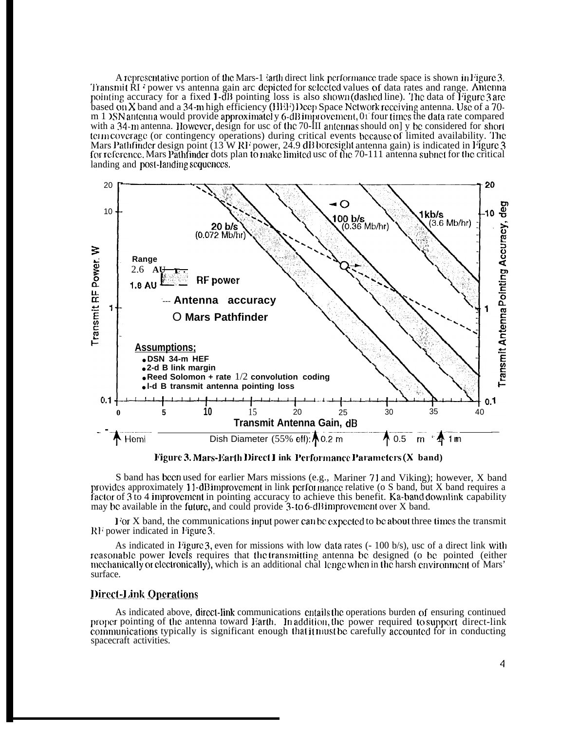A represent ative portion of the Mars-1 larth direct link performance trade space is shown in l'igure 3. Transmit  $\dot{R}I$  i power vs antenna gain arc depicted for selected values of data rates and range. Antenna pointing accuracy for a fixed 1-dB pointing loss is also shown (dashed line). The data of I igure 3 are based on X band and a 34-m high efficiency (HEF) Deep Space Nctwork receiving antenna. Use of a 70m 1 >SN antenna would provide approximatel y 6-dB improvement, 01 four times the data rate compared with a 34-m antenna. However, design for usc of the 70-III antennas should on] y be considered for short (CI In covcragc (or contingency operations) during critical events bccausc of limited availability. 'lhc Mars Pathfinder design point (13 W RF power, 24.9 dB boresight antenna gain) is indicated in Figure 3 for reference. Mars Pathfinder dots plan to make limited usc of the 70-111 antenna subnet for the critical landing and post-landing sequences.



**ligure 3. Mars-Earth Direct I ink Performance Parameters (X band)** 

S band has been used for earlier Mars missions (e.g., Mariner 71 and Viking); however, X band provides approximately 11-dB improvement in link performance relative (o S band, but X band requires a factor of 3 to 4 improvement in pointing accuracy to achieve this benefit. Ka-band downlink capability may be available in the future, and could provide 3-to 6-dB improvement over X band.

 $1$ 'or X band, the communications input power can be expected to be about three times the transmit  $R1$  power indicated in Figure 3.

As indicated in Figure 3, even for missions with low data rates (- 100 b/s), usc of a direct link with rcasonable power levels requires that the transmitting antenna be designed (o be pointed (either mcchanically or clectronically), which is an additional chal lenge when in the harsh environment of Mars' surface.

### **Direct-Link Operations**

As indicated above, dircct-link communications cntails the operations burden of ensuring continued proper pointing of the antenna toward Earth. In addition, the power required to support direct-link conmmnications typically is significant enough thal it must bc carefully accounlcd for in conducting spacecraft activities.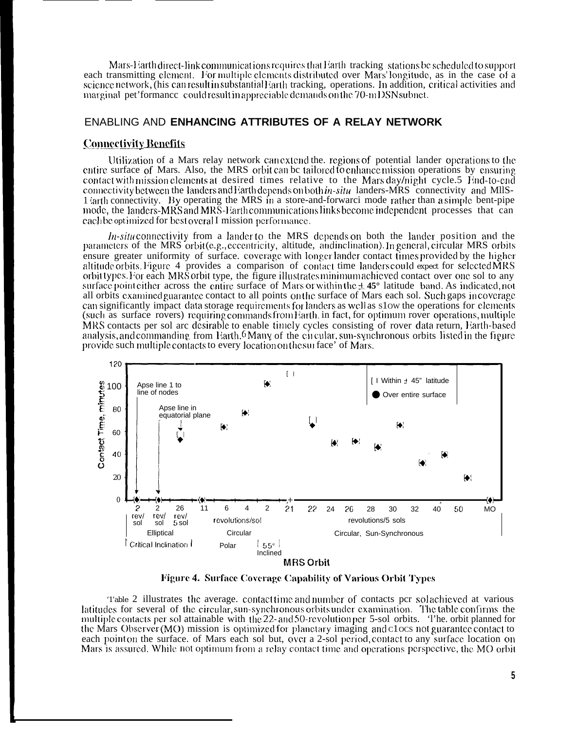Mars-Earth direct-link communications requires that Earth-tracking stations be scheduled to support each transmitting element. For multiple elements distributed over Mars' longitude, as in the case of a science network, (his can result in substantial) and tracking, operations. In addition, critical activities and marginal pet formance could result in appreciable demands on the 70-mDSN subnet.

### ENABLING AND ENHANCING ATTRIBUTES OF A RELAY NETWORK

#### Connectivity Benefits

Utilization of a Mars relay network can extend the, regions of potential lander operations to the entire surface of Mars. Also, the MRS orbit can be tailored to enhance mission operations by ensuring contact with mission elements at desired times relative to the Mars day/night cycle.5 End-to-end connectivity between the landers and Earth depends on both *in-situ* landers-MRS connectivity and MIIS-1 larth connectivity. By operating the MRS in a store-and-forwarci mode rather than a simple bent-pipe mode, the landers-MRS and MRS-Earth communications links become independent processes that can each be optimized for best overal I mission performance.

 $In-situ$  connectivity from a lander to the MRS depends on both the lander position and the parameters of the MRS orbit (e.g., eccentricity, altitude, and inclination). In general, circular MRS orbits ensure greater uniformity of surface. coverage with longer lander contact times provided by the higher altitude orbits. Figure 4 provides a comparison of contact time landers could expect for selected MRS orbit types. For each MRS orbit type, the figure illustrates minimum achieved contact over one sol to any surface point either across the entire surface of Mars or within the  $\pm$  45° latitude band. As indicated, not all orbits examined guarantee contact to all points on the surface of Mars each sol. Such gaps incoverage can significantly impact data storage requirements for landers as well as slow the operations for elements (such as surface rovers) requiring commands from Earth in fact, for optimum rover operations, multiple MRS contacts per sol arc desirable to enable timely cycles consisting of rover data return, Earth-based analysis, and commanding from Earth.<sup>6</sup> Many of the circular, sun-synchronous orbits listed in the figure provide such multiple contacts to every location on the surface' of Mars.



Figure 4. Surface Coverage Capability of Various Orbit Types

Table 2 illustrates the average, contact time and number of contacts per solachieved at various latitudes for several of the circular, sun-synchronous orbits under examination. The table confirms the multiple contacts per sol attainable with the 22- and 50-revolution per 5-sol orbits. The orbit planned for the Mars Observer (MO) mission is optimized for planetary imaging and clocs not guarantee contact to each point on the surface. of Mars each sol but, over a 2-sol period, contact to any surface location on Mars is assured. While not optimum from a relay contact time and operations perspective, the MO orbit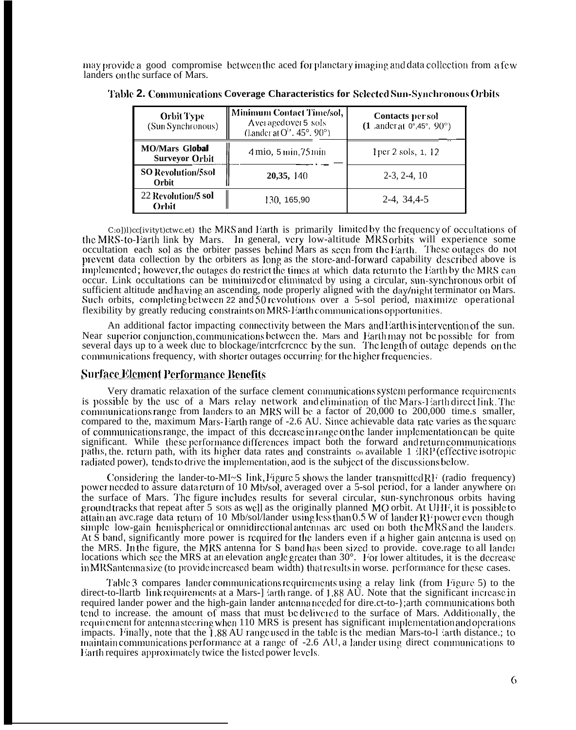may provide a good compromise between the aced for planetary imaging and data collection from a few landers on the surface of Mars.

| <b>Orbit Type</b><br>(Sun Synchronous)         | Minimum Contact Time/sol,  <br>Averagedover 5 sols<br>(Lander at $O^{1.}$ , 45°, 90°) | Contacts per sol<br>$(1 \text{ ander at } 0^{\circ}, 45^{\circ}, 90^{\circ})$ |  |  |
|------------------------------------------------|---------------------------------------------------------------------------------------|-------------------------------------------------------------------------------|--|--|
| <b>MO/Mars Global</b><br><b>Surveyor Orbit</b> | $4 \text{ mio}, 5 \text{ min}, 75 \text{ min}$                                        | 1 per 2 sols, 1, 12                                                           |  |  |
| <b>SO Revolution/5sol</b><br>Orbit             | 20,35, 140                                                                            | $2-3, 2-4, 10$                                                                |  |  |
| 22 Revolution/5 sol<br>Orbit                   | 130, 165,90                                                                           | 2-4, 34, 4-5                                                                  |  |  |

| Table 2. Communications Coverage Characteristics for Sclected Sun-Synchronous Orbits |  |  |  |
|--------------------------------------------------------------------------------------|--|--|--|
|                                                                                      |  |  |  |

C:o])l)cc[ivityt)ctwc.et) the MRS and Earth is primarily limited by the frequency of occultations of the MRS-to-Earth link by Mars. In general, very low-altitude MRS orbits will experience some occultation each sol as the orbiter passes behind Mars as seen from the Earth. These outages do not prevent data collection by the orbiters as long as the store-and-forward capability described above is implemented; however, the outages do restrict the times at which data return to the Earth by the MRS can occur. Link occultations can be minimized or eliminated by using a circular, sun-synchronous orbit of sufficient altitude and having an ascending, node properly aligned with the day/night terminator on Mars. Such orbits, completing between 22 and 50 revolutions over a 5-sol period, maximize operational flexibility by greatly reducing constraints on MRS-Earth communications opportunities.

An additional factor impacting connectivity between the Mars and Earth is intervention of the sun. Near superior conjunction, communications between the. Mars and Earth may not be possible for from<br>several days up to a week due to blockage/interference by the sun. The length of outage depends on the communications frequency, with shorter outages occurring for the higher frequencies.

#### **Surface Element Performance Benefits**

Very dramatic relaxation of the surface clement communications system performance requirements is possible by the use of a Mars relay network and elimination of the Mars-Harth direct link. The communications range from landers to an MRS will be a factor of 20,000 to 200,000 time.s smaller, compared to the, maximum Mars-Earth range of -2.6 AU. Since achievable data rate varies as the square of communications range, the impact of this decrease in range on the lander implementation can be quite significant. While these performance differences impact both the forward and return communications paths, the. return path, with its higher data rates and constraints  $\circ$  available 1 IRP (effective isotropic radiated power), tends to drive the implementation, and is the subject of the discussions below.

Considering the lander-to-MI~S link, Figure 5 shows the lander transmitted RF (radio frequency) power needed to assure data return of 10 Mb/sol, averaged over a 5-sol period, for a lander anywhere on the surface of Mars. The figure includes results for several circular, sun-synchronous orbits having ground tracks that repeat after 5 sols as well as the originally planned MO orbit. At UHF, it is possible to attain an ave rage data return of 10 Mb/sol/lander using less than 0.5 W of lander RF power even though simple low-gain hemispherical or omnidirectional antennas are used on both the MRS and the landers. At S band, significantly more power is required for the landers even if a higher gain antenna is used on the MRS. In the figure, the MRS antenna for S band has been sized to provide. cove rage to all lander locations which see the MRS at an elevation angle greater than 30°. For lower altitudes, it is the decrease in MRS antenna size (to provide increased beam width) that results in worse. performance for these cases.

Table 3 compares lander communications requirements using a relay link (from Figure 5) to the direct-to-llartb link requirements at a Mars-] larth range. of 1.88 AU. Note that the significant increase in required lander power and the high-gain lander antenna needed for direct-to-}; arth communications both tend to increase, the amount of mass that must be delivered to the surface of Mars. Additionally, the requirement for antenna steering when 110 MRS is present has significant implementation and operations impacts. Finally, note that the 1.88 AU range used in the table is the median Mars-to-1 larth distance.; to maintain communications performance at a range of -2.6 AU, a lander using direct communications to Earth requires approximately twice the listed power levels.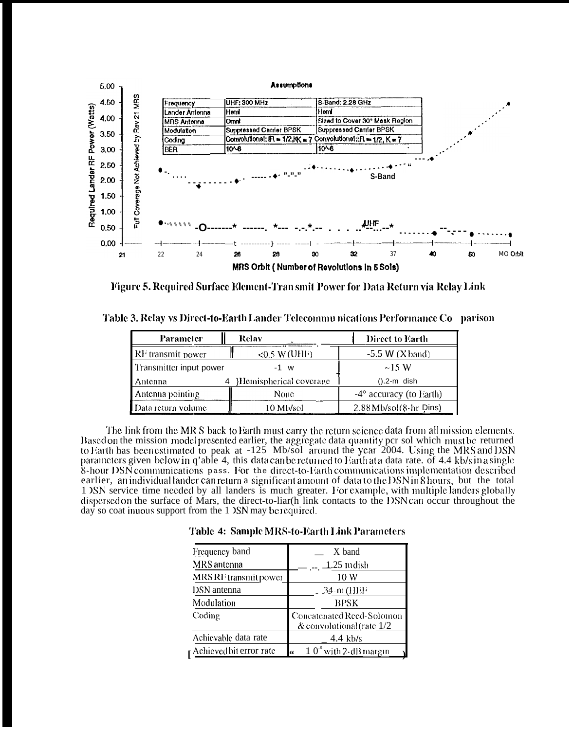

Figure 5. Required Surface Element-Tran smit Power for Data Return via Relay Link

Table 3. Relay vs Direct-to-Earth Lander Telecommu nications Performance Co parison

| Parameter                     | Relay                  | Direct to Earth                  |
|-------------------------------|------------------------|----------------------------------|
| $\mathbb{R}^n$ transmit power | $<$ 0.5 W (UHF)        | $-5.5$ W $(X$ band)              |
| Transmitter input power       | $-1$ w                 | $\sim$ 1.5 W                     |
| Antenna                       | Hemispherical coverage | $()$ .2-m dish                   |
| Antenna pointing              | <b>None</b>            | $-4^{\circ}$ accuracy (to Earth) |
| ∎Data return volume           | 10 Mb/sol              | $2.88$ Mb/sol $(8-hr)$ Dins)     |

The link from the MR S back to Barth must carry the return science data from all mission elements. Based on the mission model presented earlier, the aggregate data quantity per sol which must be returned to Earth has been estimated to peak at -125 Mb/sol around the year 2004. Using the MRS and DSN parameters given below in q'able 4, this data can be returned to Earth at a data rate. of 4.4 kb/s in a single 8-hour DSN communications pass. For the direct-to-Earth communications implementation described earlier, an individual lander can return a significant amount of data to the DSN in 8 hours, but the total 1 DSN service time needed by all landers is much greater. For example, with multiple landers globally dispersed on the surface of Mars, the direct-to-liar(h link contacts to the DSN can occur throughout the day so coat in uous support from the 1 DSN may be required.

Table 4: Sample MRS-to-Earth Link Parameters

| Frequency band                 | X band                                                   |
|--------------------------------|----------------------------------------------------------|
| MRS antenna                    | 1.25 m dish                                              |
| MRS RF transmit power          | 10 W                                                     |
| <b>DSN</b> antenna             | $-34$ -m (HHF                                            |
| Modulation                     | BPSK                                                     |
| Coding                         | Concatenated Reed-Solomon<br>& convolutional (rate $1/2$ |
| Achievable data rate           | $4.4$ kb/s                                               |
| <b>Achieved bit error rate</b> | $10-6$ with 2-dB margin<br>k٤                            |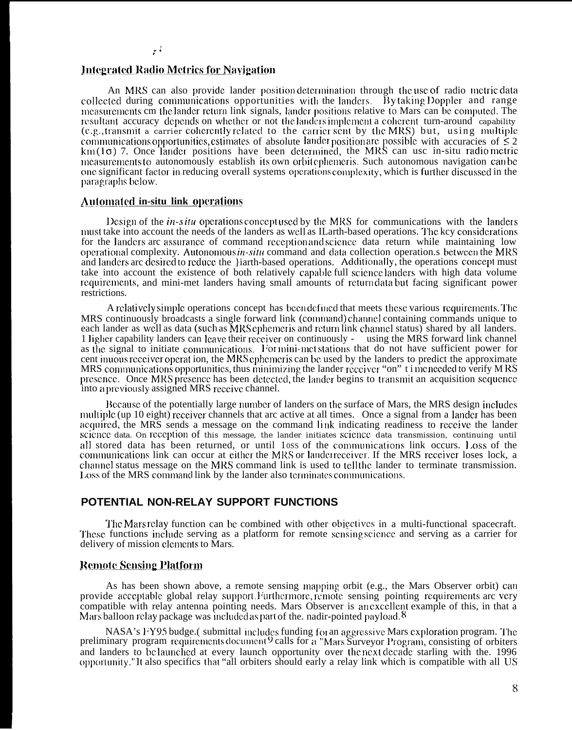#### **Integrated Radio Metrics for Navigation**

An MRS can also provide lander position determination through the use of radio metric data collected during communications opportunities with the landers. By taking Doppler and range measurements cm the lander return link signals, lander positions relative to Mars can be computed. The resultant accuracy depends on whether or not the landers implement a coherent turn-around capability (e.g., transmit a carrier coherently related to the carrier sent by the MRS) but, using multiple communications opportunities, estimates of absolute lander position are possible with accuracies of  $\leq 2$  km(1 $\sigma$ ) 7. Once lander positions have been determined, the MRS can usc in-situ radio metric measurements to autonomously establish its own orbit ophemeris. Such autonomous navigation can be one significant factor in reducing overall systems operations complexity, which is further discussed in the paragraphs below.

## **Automated in-situ link operations**

Design of the *in-s itu* operations concept used by the MRS for communications with the landers must take into account the needs of the landers as well as IL and the based operations. The key considerations for the landers are assurance of command reception and science data return while maintaining low operational complexity. Autonomous in-situ command and data collection operation s between the MRS and landers are desired to reduce the }iarth-based operations. Additionally, the operations concept must take into account the existence of both relatively capable full science landers with high data volume requirements, and mini-met landers having small amounts of returndata but facing significant power restrictions.

A relatively simple operations concept has been defined that meets these various requirements. The MRS continuously broadcasts a single forward link (command) channel containing commands unique to each lander as well as data (such as MRS ephemeris and return link channel status) shared by all landers. 1 ligher capability landers can leave their receiver on continuously - using the MRS forward link channel as the signal to initiate communications. For mini-met stations that do not have sufficient power for cent inuous receiver operation, the MRS ephemeris can be used by the landers to predict the approximate MRS communications opportunities, thus minimizing the lander receiver "on" t i me needed to verify MRS presence. Once MRS presence has been detected, the lander begins to transmit an acquisition sequence into a previously assigned MRS receive channel.

Because of the potentially large number of landers on the surface of Mars, the MRS design includes multiple (up 10 eight) receiver channels that arc active at all times. Once a signal from a lander has been acquired, the MRS sends a message on the command link indicating readiness to receive the lander science data. On reception of this message, the lander initiates science data transmission, continuing until all stored data has been returned, or until loss of the communications link occurs. Loss of the communications link can occur at either the MRS or lander receiver. If the MRS receiver loses lock, a channel status message on the MRS command link is used to tell the lander to terminate transmission. Loss of the MRS command link by the lander also terminates communications.

### POTENTIAL NON-RELAY SUPPORT FUNCTIONS

The Mars relay function can be combined with other objectives in a multi-functional spacecraft. These functions include serving as a platform for remote sensing science and serving as a carrier for delivery of mission elements to Mars.

## **Remote Sensing Platform**

As has been shown above, a remote sensing mapping orbit (e.g., the Mars Observer orbit) can provide acceptable global relay support Furthermore, remote sensing pointing requirements are very compatible with relay antenna pointing needs. Mars Observer is an excellent example of this, in that a Mars balloon relay package was included as part of the. nadir-pointed payload. <sup>8</sup>

NASA's FY95 budge.(submittal includes funding for an aggressive Mars exploration program. The preliminary program requirements document 9 calls for a "Mars Surveyor Program, consisting of orbiters and landers to be launche opportunity."It also specifics that "all orbiters should early a relay link which is compatible with all US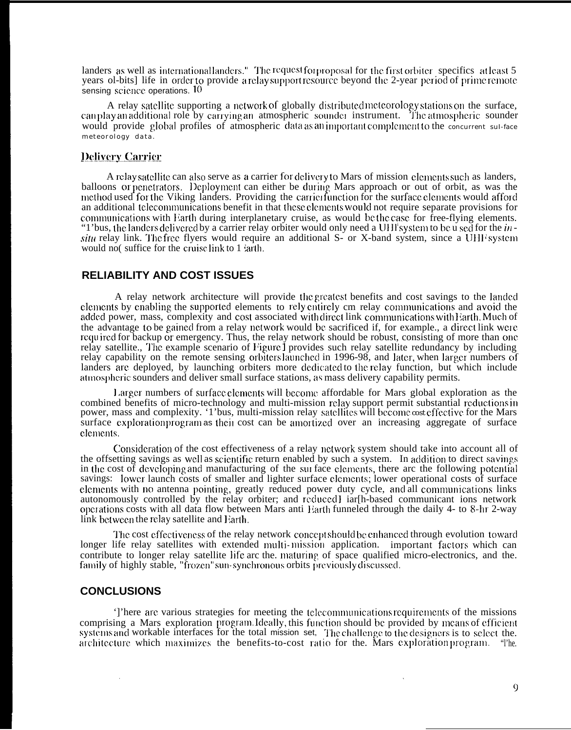landers as well as international landers." The request for proposal for the first orbiter-specifics at least 5 years ol-bits] life in order to provide a relay support resource beyond the 2-year period of prime remote sensing science operations.  $10$ 

A relay satellite supporting a network of globally distributed meteorology stations on the surface, can play an additional role by carrying an atmospheric sounder instrument. The atmospheric sounder would provide global profiles of atmospheric data as an important complement to the concurrent sul-face meteorology data.

#### **Delivery Carrier**

A relay satellite can also serve as a carrier for delivery to Mars of mission elements such as landers, balloons or penetrators. Deployment can either be during Mars approach or out of orbit, as was the method used for the Viking landers. Providing the carrier function for the surface elements would afford an additional telecommunications benefit in that these elements would not require separate provisions for communications with Earth during interplanetary cruise, as would be the case for free-flying elements. "1'bus, the landers delivered by a carrier relay orbiter would only need a UHI system to be u sed for the  $\dot{m}$ *situ* relay link. The free flyers would require an additional S- or X-band system, since a UHI system would not suffice for the cruise link to  $1$  arth.

### **RELIABILITY AND COST ISSUES**

A relay network architecture will provide the greatest benefits and cost savings to the landed clements by enabling the supported elements to rely entirely cm relay communications and avoid the added power, mass, complexity and cost associated with direct link communications with Earth. Much of the advantage to be gained from a relay network would be sacrificed if, for example., a direct link were. required for backup or emergency. Thus, the relay network should be robust, consisting of more than one relay satellite., The example scenario of Figure 1 provides such relay satellite redundancy by including relay capability on the remote sensing orbiters aunched in 1996-98, and later, when larger numbers of landers are deployed, by launching orbiters more dedicated to the relay function, but which include almospheric sounders and deliver small surface stations, as mass delivery capability permits.

Larger numbers of surface elements will become affordable for Mars global exploration as the combined benefits of micro-technology and multi-mission relay support permit substantial reductions in power, mass and complexity. '1'bus, multi-mission relay satellites will become cost effective for the Mars surface exploration program as their cost can be amortized over an increasing aggregate of surface elements.

Consideration of the cost effectiveness of a relay network system should take into account all of the offsetting savings as well as scientific return enabled by such a system. In addition to direct savings in the cost of developing and manufacturing of the surface clements, there arc the following potential savings: lower launch costs of smaller and lighter surface elements; lower operational costs of surface elements with no antenna pointing, greatly reduced power duty cycle, and all communications links autonomously controlled by the relay orbiter; and reduced I iar[h-based communicant ions network operations costs with all data flow between Mars anti Harth funneled through the daily 4- to 8-hr 2-way link between the relay satellite and Earth.

The cost effectiveness of the relay network concept should be enhanced through evolution toward longer life relay satellites with extended multi-mission application. important factors which can contribute to longer relay satellite life arc the, maturing of space qualified micro-electronics, and the. family of highly stable, "frozen" sun-synchronous orbits previously discussed.

## **CONCLUSIONS**

']'here are various strategies for meeting the telecommunications requirements of the missions comprising a Mars exploration program. Ideally, this function should be provided by means of efficien systems and workable interfaces for the total mission set, The challenge to the designers is to select the. architecture which maximizes the benefits-to-cost ratio for the. Mars exploration program. "The.